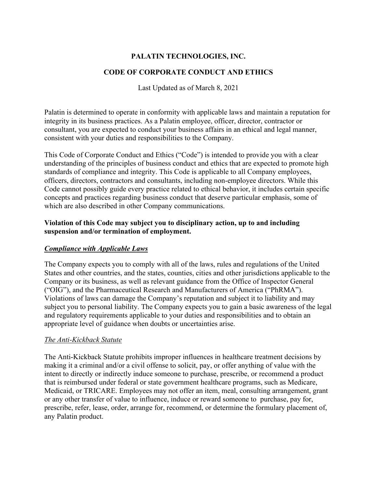## **PALATIN TECHNOLOGIES, INC.**

### **CODE OF CORPORATE CONDUCT AND ETHICS**

Last Updated as of March 8, 2021

Palatin is determined to operate in conformity with applicable laws and maintain a reputation for integrity in its business practices. As a Palatin employee, officer, director, contractor or consultant, you are expected to conduct your business affairs in an ethical and legal manner, consistent with your duties and responsibilities to the Company.

This Code of Corporate Conduct and Ethics ("Code") is intended to provide you with a clear understanding of the principles of business conduct and ethics that are expected to promote high standards of compliance and integrity. This Code is applicable to all Company employees, officers, directors, contractors and consultants, including non-employee directors. While this Code cannot possibly guide every practice related to ethical behavior, it includes certain specific concepts and practices regarding business conduct that deserve particular emphasis, some of which are also described in other Company communications.

#### **Violation of this Code may subject you to disciplinary action, up to and including suspension and/or termination of employment.**

### *Compliance with Applicable Laws*

The Company expects you to comply with all of the laws, rules and regulations of the United States and other countries, and the states, counties, cities and other jurisdictions applicable to the Company or its business, as well as relevant guidance from the Office of Inspector General ("OIG"), and the Pharmaceutical Research and Manufacturers of America ("PhRMA"). Violations of laws can damage the Company's reputation and subject it to liability and may subject you to personal liability. The Company expects you to gain a basic awareness of the legal and regulatory requirements applicable to your duties and responsibilities and to obtain an appropriate level of guidance when doubts or uncertainties arise.

#### *The Anti-Kickback Statute*

The Anti-Kickback Statute prohibits improper influences in healthcare treatment decisions by making it a criminal and/or a civil offense to solicit, pay, or offer anything of value with the intent to directly or indirectly induce someone to purchase, prescribe, or recommend a product that is reimbursed under federal or state government healthcare programs, such as Medicare, Medicaid, or TRICARE. Employees may not offer an item, meal, consulting arrangement, grant or any other transfer of value to influence, induce or reward someone to purchase, pay for, prescribe, refer, lease, order, arrange for, recommend, or determine the formulary placement of, any Palatin product.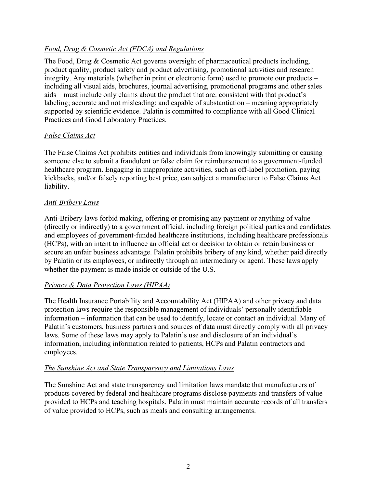### *Food, Drug & Cosmetic Act (FDCA) and Regulations*

The Food, Drug & Cosmetic Act governs oversight of pharmaceutical products including, product quality, product safety and product advertising, promotional activities and research integrity. Any materials (whether in print or electronic form) used to promote our products – including all visual aids, brochures, journal advertising, promotional programs and other sales aids – must include only claims about the product that are: consistent with that product's labeling; accurate and not misleading; and capable of substantiation – meaning appropriately supported by scientific evidence. Palatin is committed to compliance with all Good Clinical Practices and Good Laboratory Practices.

### *False Claims Act*

The False Claims Act prohibits entities and individuals from knowingly submitting or causing someone else to submit a fraudulent or false claim for reimbursement to a government-funded healthcare program. Engaging in inappropriate activities, such as off-label promotion, paying kickbacks, and/or falsely reporting best price, can subject a manufacturer to False Claims Act liability.

### *Anti-Bribery Laws*

Anti-Bribery laws forbid making, offering or promising any payment or anything of value (directly or indirectly) to a government official, including foreign political parties and candidates and employees of government-funded healthcare institutions, including healthcare professionals (HCPs), with an intent to influence an official act or decision to obtain or retain business or secure an unfair business advantage. Palatin prohibits bribery of any kind, whether paid directly by Palatin or its employees, or indirectly through an intermediary or agent. These laws apply whether the payment is made inside or outside of the U.S.

### *Privacy & Data Protection Laws (HIPAA)*

The Health Insurance Portability and Accountability Act (HIPAA) and other privacy and data protection laws require the responsible management of individuals' personally identifiable information – information that can be used to identify, locate or contact an individual. Many of Palatin's customers, business partners and sources of data must directly comply with all privacy laws. Some of these laws may apply to Palatin's use and disclosure of an individual's information, including information related to patients, HCPs and Palatin contractors and employees.

### *The Sunshine Act and State Transparency and Limitations Laws*

The Sunshine Act and state transparency and limitation laws mandate that manufacturers of products covered by federal and healthcare programs disclose payments and transfers of value provided to HCPs and teaching hospitals. Palatin must maintain accurate records of all transfers of value provided to HCPs, such as meals and consulting arrangements.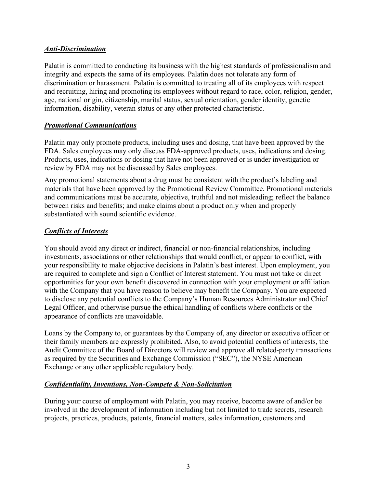### *Anti-Discrimination*

Palatin is committed to conducting its business with the highest standards of professionalism and integrity and expects the same of its employees. Palatin does not tolerate any form of discrimination or harassment. Palatin is committed to treating all of its employees with respect and recruiting, hiring and promoting its employees without regard to race, color, religion, gender, age, national origin, citizenship, marital status, sexual orientation, gender identity, genetic information, disability, veteran status or any other protected characteristic.

### *Promotional Communications*

Palatin may only promote products, including uses and dosing, that have been approved by the FDA. Sales employees may only discuss FDA-approved products, uses, indications and dosing. Products, uses, indications or dosing that have not been approved or is under investigation or review by FDA may not be discussed by Sales employees.

Any promotional statements about a drug must be consistent with the product's labeling and materials that have been approved by the Promotional Review Committee. Promotional materials and communications must be accurate, objective, truthful and not misleading; reflect the balance between risks and benefits; and make claims about a product only when and properly substantiated with sound scientific evidence.

### *Conflicts of Interests*

You should avoid any direct or indirect, financial or non-financial relationships, including investments, associations or other relationships that would conflict, or appear to conflict, with your responsibility to make objective decisions in Palatin's best interest. Upon employment, you are required to complete and sign a Conflict of Interest statement. You must not take or direct opportunities for your own benefit discovered in connection with your employment or affiliation with the Company that you have reason to believe may benefit the Company. You are expected to disclose any potential conflicts to the Company's Human Resources Administrator and Chief Legal Officer, and otherwise pursue the ethical handling of conflicts where conflicts or the appearance of conflicts are unavoidable.

Loans by the Company to, or guarantees by the Company of, any director or executive officer or their family members are expressly prohibited. Also, to avoid potential conflicts of interests, the Audit Committee of the Board of Directors will review and approve all related-party transactions as required by the Securities and Exchange Commission ("SEC"), the NYSE American Exchange or any other applicable regulatory body.

### *Confidentiality, Inventions, Non-Compete & Non-Solicitation*

During your course of employment with Palatin, you may receive, become aware of and/or be involved in the development of information including but not limited to trade secrets, research projects, practices, products, patents, financial matters, sales information, customers and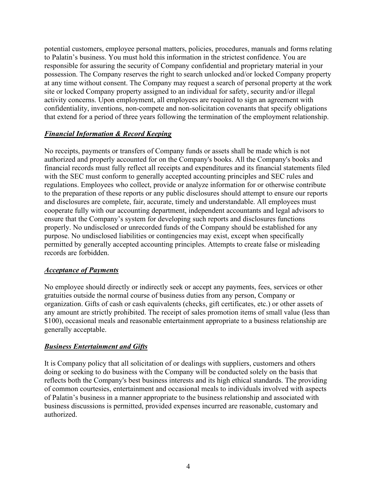potential customers, employee personal matters, policies, procedures, manuals and forms relating to Palatin's business. You must hold this information in the strictest confidence. You are responsible for assuring the security of Company confidential and proprietary material in your possession. The Company reserves the right to search unlocked and/or locked Company property at any time without consent. The Company may request a search of personal property at the work site or locked Company property assigned to an individual for safety, security and/or illegal activity concerns. Upon employment, all employees are required to sign an agreement with confidentiality, inventions, non-compete and non-solicitation covenants that specify obligations that extend for a period of three years following the termination of the employment relationship.

## *Financial Information & Record Keeping*

No receipts, payments or transfers of Company funds or assets shall be made which is not authorized and properly accounted for on the Company's books. All the Company's books and financial records must fully reflect all receipts and expenditures and its financial statements filed with the SEC must conform to generally accepted accounting principles and SEC rules and regulations. Employees who collect, provide or analyze information for or otherwise contribute to the preparation of these reports or any public disclosures should attempt to ensure our reports and disclosures are complete, fair, accurate, timely and understandable. All employees must cooperate fully with our accounting department, independent accountants and legal advisors to ensure that the Company's system for developing such reports and disclosures functions properly. No undisclosed or unrecorded funds of the Company should be established for any purpose. No undisclosed liabilities or contingencies may exist, except when specifically permitted by generally accepted accounting principles. Attempts to create false or misleading records are forbidden.

### *Acceptance of Payments*

No employee should directly or indirectly seek or accept any payments, fees, services or other gratuities outside the normal course of business duties from any person, Company or organization. Gifts of cash or cash equivalents (checks, gift certificates, etc.) or other assets of any amount are strictly prohibited. The receipt of sales promotion items of small value (less than \$100), occasional meals and reasonable entertainment appropriate to a business relationship are generally acceptable.

### *Business Entertainment and Gifts*

It is Company policy that all solicitation of or dealings with suppliers, customers and others doing or seeking to do business with the Company will be conducted solely on the basis that reflects both the Company's best business interests and its high ethical standards. The providing of common courtesies, entertainment and occasional meals to individuals involved with aspects of Palatin's business in a manner appropriate to the business relationship and associated with business discussions is permitted, provided expenses incurred are reasonable, customary and authorized.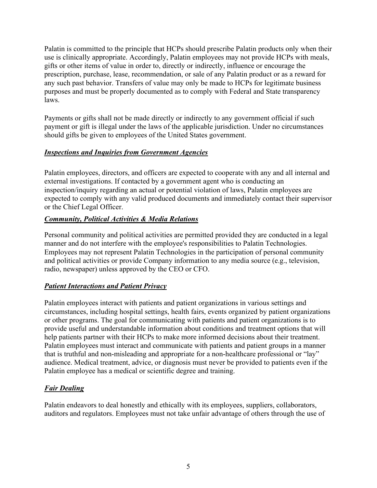Palatin is committed to the principle that HCPs should prescribe Palatin products only when their use is clinically appropriate. Accordingly, Palatin employees may not provide HCPs with meals, gifts or other items of value in order to, directly or indirectly, influence or encourage the prescription, purchase, lease, recommendation, or sale of any Palatin product or as a reward for any such past behavior. Transfers of value may only be made to HCPs for legitimate business purposes and must be properly documented as to comply with Federal and State transparency laws.

Payments or gifts shall not be made directly or indirectly to any government official if such payment or gift is illegal under the laws of the applicable jurisdiction. Under no circumstances should gifts be given to employees of the United States government.

## *Inspections and Inquiries from Government Agencies*

Palatin employees, directors, and officers are expected to cooperate with any and all internal and external investigations. If contacted by a government agent who is conducting an inspection/inquiry regarding an actual or potential violation of laws, Palatin employees are expected to comply with any valid produced documents and immediately contact their supervisor or the Chief Legal Officer.

## *Community, Political Activities & Media Relations*

Personal community and political activities are permitted provided they are conducted in a legal manner and do not interfere with the employee's responsibilities to Palatin Technologies. Employees may not represent Palatin Technologies in the participation of personal community and political activities or provide Company information to any media source (e.g., television, radio, newspaper) unless approved by the CEO or CFO.

# *Patient Interactions and Patient Privacy*

Palatin employees interact with patients and patient organizations in various settings and circumstances, including hospital settings, health fairs, events organized by patient organizations or other programs. The goal for communicating with patients and patient organizations is to provide useful and understandable information about conditions and treatment options that will help patients partner with their HCPs to make more informed decisions about their treatment. Palatin employees must interact and communicate with patients and patient groups in a manner that is truthful and non-misleading and appropriate for a non-healthcare professional or "lay" audience. Medical treatment, advice, or diagnosis must never be provided to patients even if the Palatin employee has a medical or scientific degree and training.

# *Fair Dealing*

Palatin endeavors to deal honestly and ethically with its employees, suppliers, collaborators, auditors and regulators. Employees must not take unfair advantage of others through the use of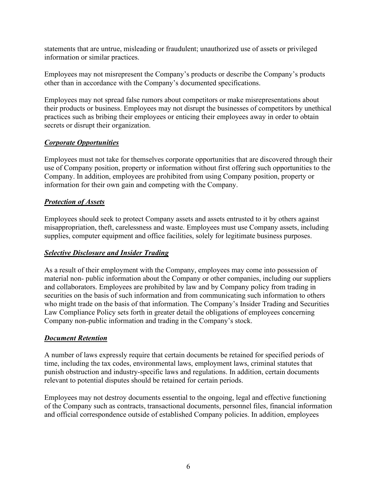statements that are untrue, misleading or fraudulent; unauthorized use of assets or privileged information or similar practices.

Employees may not misrepresent the Company's products or describe the Company's products other than in accordance with the Company's documented specifications.

Employees may not spread false rumors about competitors or make misrepresentations about their products or business. Employees may not disrupt the businesses of competitors by unethical practices such as bribing their employees or enticing their employees away in order to obtain secrets or disrupt their organization.

### *Corporate Opportunities*

Employees must not take for themselves corporate opportunities that are discovered through their use of Company position, property or information without first offering such opportunities to the Company. In addition, employees are prohibited from using Company position, property or information for their own gain and competing with the Company.

### *Protection of Assets*

Employees should seek to protect Company assets and assets entrusted to it by others against misappropriation, theft, carelessness and waste. Employees must use Company assets, including supplies, computer equipment and office facilities, solely for legitimate business purposes.

### *Selective Disclosure and Insider Trading*

As a result of their employment with the Company, employees may come into possession of material non- public information about the Company or other companies, including our suppliers and collaborators. Employees are prohibited by law and by Company policy from trading in securities on the basis of such information and from communicating such information to others who might trade on the basis of that information. The Company's Insider Trading and Securities Law Compliance Policy sets forth in greater detail the obligations of employees concerning Company non-public information and trading in the Company's stock.

### *Document Retention*

A number of laws expressly require that certain documents be retained for specified periods of time, including the tax codes, environmental laws, employment laws, criminal statutes that punish obstruction and industry-specific laws and regulations. In addition, certain documents relevant to potential disputes should be retained for certain periods.

Employees may not destroy documents essential to the ongoing, legal and effective functioning of the Company such as contracts, transactional documents, personnel files, financial information and official correspondence outside of established Company policies. In addition, employees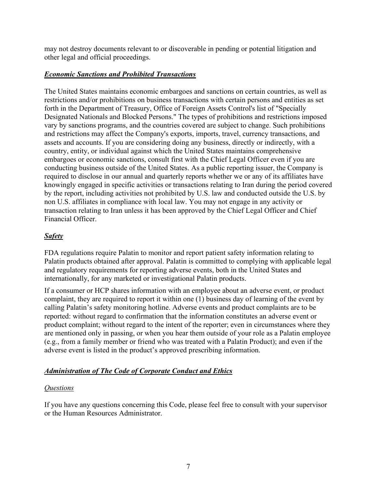may not destroy documents relevant to or discoverable in pending or potential litigation and other legal and official proceedings.

## *Economic Sanctions and Prohibited Transactions*

The United States maintains economic embargoes and sanctions on certain countries, as well as restrictions and/or prohibitions on business transactions with certain persons and entities as set forth in the Department of Treasury, Office of Foreign Assets Control's list of "Specially Designated Nationals and Blocked Persons." The types of prohibitions and restrictions imposed vary by sanctions programs, and the countries covered are subject to change. Such prohibitions and restrictions may affect the Company's exports, imports, travel, currency transactions, and assets and accounts. If you are considering doing any business, directly or indirectly, with a country, entity, or individual against which the United States maintains comprehensive embargoes or economic sanctions, consult first with the Chief Legal Officer even if you are conducting business outside of the United States. As a public reporting issuer, the Company is required to disclose in our annual and quarterly reports whether we or any of its affiliates have knowingly engaged in specific activities or transactions relating to Iran during the period covered by the report, including activities not prohibited by U.S. law and conducted outside the U.S. by non U.S. affiliates in compliance with local law. You may not engage in any activity or transaction relating to Iran unless it has been approved by the Chief Legal Officer and Chief Financial Officer.

# *Safety*

FDA regulations require Palatin to monitor and report patient safety information relating to Palatin products obtained after approval. Palatin is committed to complying with applicable legal and regulatory requirements for reporting adverse events, both in the United States and internationally, for any marketed or investigational Palatin products.

If a consumer or HCP shares information with an employee about an adverse event, or product complaint, they are required to report it within one (1) business day of learning of the event by calling Palatin's safety monitoring hotline. Adverse events and product complaints are to be reported: without regard to confirmation that the information constitutes an adverse event or product complaint; without regard to the intent of the reporter; even in circumstances where they are mentioned only in passing, or when you hear them outside of your role as a Palatin employee (e.g., from a family member or friend who was treated with a Palatin Product); and even if the adverse event is listed in the product's approved prescribing information.

# *Administration of The Code of Corporate Conduct and Ethics*

### *Questions*

If you have any questions concerning this Code, please feel free to consult with your supervisor or the Human Resources Administrator.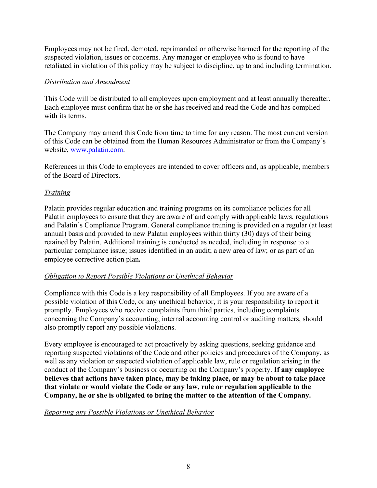Employees may not be fired, demoted, reprimanded or otherwise harmed for the reporting of the suspected violation, issues or concerns. Any manager or employee who is found to have retaliated in violation of this policy may be subject to discipline, up to and including termination.

#### *Distribution and Amendment*

This Code will be distributed to all employees upon employment and at least annually thereafter. Each employee must confirm that he or she has received and read the Code and has complied with its terms.

The Company may amend this Code from time to time for any reason. The most current version of this Code can be obtained from the Human Resources Administrator or from the Company's website, [www.palatin.com.](http://www.palatin.com/)

References in this Code to employees are intended to cover officers and, as applicable, members of the Board of Directors.

### *Training*

Palatin provides regular education and training programs on its compliance policies for all Palatin employees to ensure that they are aware of and comply with applicable laws, regulations and Palatin's Compliance Program. General compliance training is provided on a regular (at least annual) basis and provided to new Palatin employees within thirty (30) days of their being retained by Palatin. Additional training is conducted as needed, including in response to a particular compliance issue; issues identified in an audit; a new area of law; or as part of an employee corrective action plan*.*

### *Obligation to Report Possible Violations or Unethical Behavior*

Compliance with this Code is a key responsibility of all Employees. If you are aware of a possible violation of this Code, or any unethical behavior, it is your responsibility to report it promptly. Employees who receive complaints from third parties, including complaints concerning the Company's accounting, internal accounting control or auditing matters, should also promptly report any possible violations.

Every employee is encouraged to act proactively by asking questions, seeking guidance and reporting suspected violations of the Code and other policies and procedures of the Company, as well as any violation or suspected violation of applicable law, rule or regulation arising in the conduct of the Company's business or occurring on the Company's property. **If any employee believes that actions have taken place, may be taking place, or may be about to take place that violate or would violate the Code or any law, rule or regulation applicable to the Company, he or she is obligated to bring the matter to the attention of the Company.**

### *Reporting any Possible Violations or Unethical Behavior*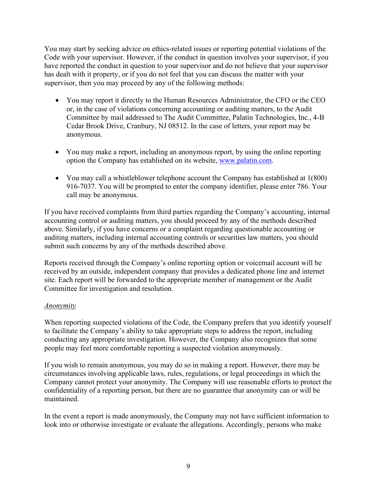You may start by seeking advice on ethics-related issues or reporting potential violations of the Code with your supervisor. However, if the conduct in question involves your supervisor, if you have reported the conduct in question to your supervisor and do not believe that your supervisor has dealt with it property, or if you do not feel that you can discuss the matter with your supervisor, then you may proceed by any of the following methods:

- You may report it directly to the Human Resources Administrator, the CFO or the CEO or, in the case of violations concerning accounting or auditing matters, to the Audit Committee by mail addressed to The Audit Committee, Palatin Technologies, Inc., 4-B Cedar Brook Drive, Cranbury, NJ 08512. In the case of letters, your report may be anonymous.
- You may make a report, including an anonymous report, by using the online reporting option the Company has established on its website, [www.palatin.com.](http://www.palatin.com/)
- You may call a whistleblower telephone account the Company has established at 1(800) 916-7037. You will be prompted to enter the company identifier, please enter 786. Your call may be anonymous.

If you have received complaints from third parties regarding the Company's accounting, internal accounting control or auditing matters, you should proceed by any of the methods described above. Similarly, if you have concerns or a complaint regarding questionable accounting or auditing matters, including internal accounting controls or securities law matters, you should submit such concerns by any of the methods described above.

Reports received through the Company's online reporting option or voicemail account will be received by an outside, independent company that provides a dedicated phone line and internet site. Each report will be forwarded to the appropriate member of management or the Audit Committee for investigation and resolution.

### *Anonymity*

When reporting suspected violations of the Code, the Company prefers that you identify yourself to facilitate the Company's ability to take appropriate steps to address the report, including conducting any appropriate investigation. However, the Company also recognizes that some people may feel more comfortable reporting a suspected violation anonymously.

If you wish to remain anonymous, you may do so in making a report. However, there may be circumstances involving applicable laws, rules, regulations, or legal proceedings in which the Company cannot protect your anonymity. The Company will use reasonable efforts to protect the confidentiality of a reporting person, but there are no guarantee that anonymity can or will be maintained.

In the event a report is made anonymously, the Company may not have sufficient information to look into or otherwise investigate or evaluate the allegations. Accordingly, persons who make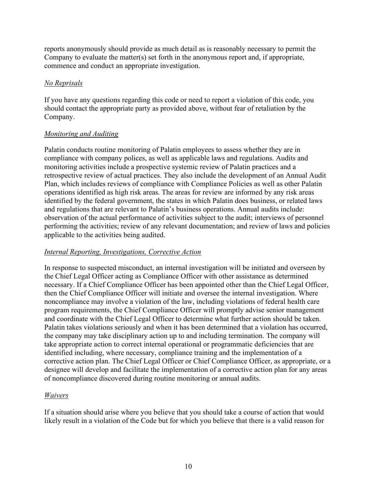reports anonymously should provide as much detail as is reasonably necessary to permit the Company to evaluate the matter(s) set forth in the anonymous report and, if appropriate, commence and conduct an appropriate investigation.

#### *No Reprisals*

If you have any questions regarding this code or need to report a violation of this code, you should contact the appropriate party as provided above, without fear of retaliation by the Company.

### *Monitoring and Auditing*

Palatin conducts routine monitoring of Palatin employees to assess whether they are in compliance with company polices, as well as applicable laws and regulations. Audits and monitoring activities include a prospective systemic review of Palatin practices and a retrospective review of actual practices. They also include the development of an Annual Audit Plan, which includes reviews of compliance with Compliance Policies as well as other Palatin operations identified as high risk areas. The areas for review are informed by any risk areas identified by the federal government, the states in which Palatin does business, or related laws and regulations that are relevant to Palatin's business operations. Annual audits include: observation of the actual performance of activities subject to the audit; interviews of personnel performing the activities; review of any relevant documentation; and review of laws and policies applicable to the activities being audited.

### *Internal Reporting, Investigations, Corrective Action*

In response to suspected misconduct, an internal investigation will be initiated and overseen by the Chief Legal Officer acting as Compliance Officer with other assistance as determined necessary. If a Chief Compliance Officer has been appointed other than the Chief Legal Officer, then the Chief Compliance Officer will initiate and oversee the internal investigation. Where noncompliance may involve a violation of the law, including violations of federal health care program requirements, the Chief Compliance Officer will promptly advise senior management and coordinate with the Chief Legal Officer to determine what further action should be taken. Palatin takes violations seriously and when it has been determined that a violation has occurred, the company may take disciplinary action up to and including termination. The company will take appropriate action to correct internal operational or programmatic deficiencies that are identified including, where necessary, compliance training and the implementation of a corrective action plan. The Chief Legal Officer or Chief Compliance Officer, as appropriate, or a designee will develop and facilitate the implementation of a corrective action plan for any areas of noncompliance discovered during routine monitoring or annual audits.

# *Waivers*

If a situation should arise where you believe that you should take a course of action that would likely result in a violation of the Code but for which you believe that there is a valid reason for